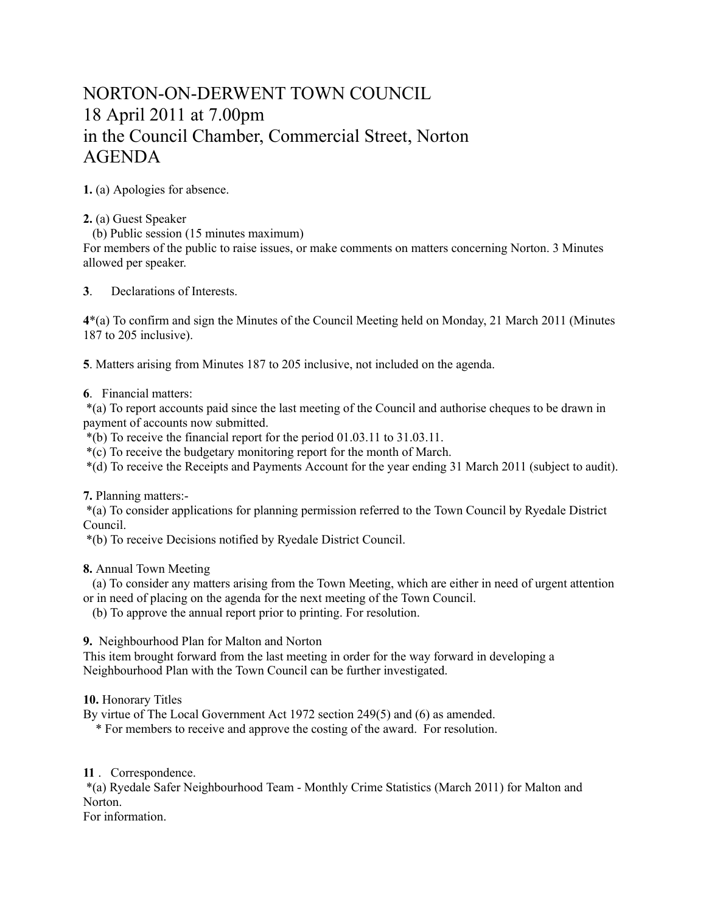## NORTON-ON-DERWENT TOWN COUNCIL 18 April 2011 at 7.00pm in the Council Chamber, Commercial Street, Norton AGENDA

**1.** (a) Apologies for absence.

**2.** (a) Guest Speaker

(b) Public session (15 minutes maximum)

For members of the public to raise issues, or make comments on matters concerning Norton. 3 Minutes allowed per speaker.

**3**. Declarations of Interests.

**4**\*(a) To confirm and sign the Minutes of the Council Meeting held on Monday, 21 March 2011 (Minutes 187 to 205 inclusive).

**5**. Matters arising from Minutes 187 to 205 inclusive, not included on the agenda.

**6**. Financial matters:

 \*(a) To report accounts paid since the last meeting of the Council and authorise cheques to be drawn in payment of accounts now submitted.

\*(b) To receive the financial report for the period 01.03.11 to 31.03.11.

\*(c) To receive the budgetary monitoring report for the month of March.

\*(d) To receive the Receipts and Payments Account for the year ending 31 March 2011 (subject to audit).

**7.** Planning matters:-

 \*(a) To consider applications for planning permission referred to the Town Council by Ryedale District Council.

\*(b) To receive Decisions notified by Ryedale District Council.

**8.** Annual Town Meeting

 (a) To consider any matters arising from the Town Meeting, which are either in need of urgent attention or in need of placing on the agenda for the next meeting of the Town Council.

(b) To approve the annual report prior to printing. For resolution.

**9.** Neighbourhood Plan for Malton and Norton

This item brought forward from the last meeting in order for the way forward in developing a Neighbourhood Plan with the Town Council can be further investigated.

**10.** Honorary Titles

By virtue of The Local Government Act 1972 section 249(5) and (6) as amended.

\* For members to receive and approve the costing of the award. For resolution.

**11** . Correspondence.

 \*(a) Ryedale Safer Neighbourhood Team - Monthly Crime Statistics (March 2011) for Malton and Norton.

For information.